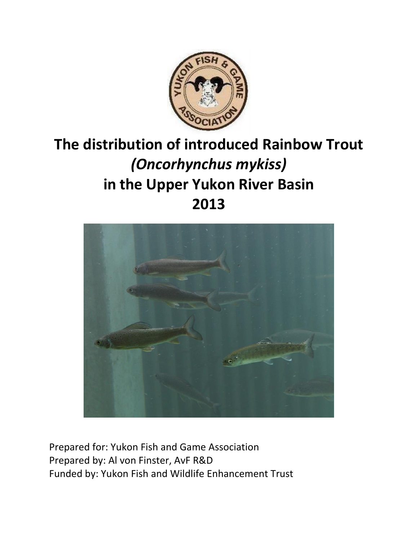

# **The distribution of introduced Rainbow Trout**  *(Oncorhynchus mykiss)* **in the Upper Yukon River Basin 2013**



Prepared for: Yukon Fish and Game Association Prepared by: Al von Finster, AvF R&D Funded by: Yukon Fish and Wildlife Enhancement Trust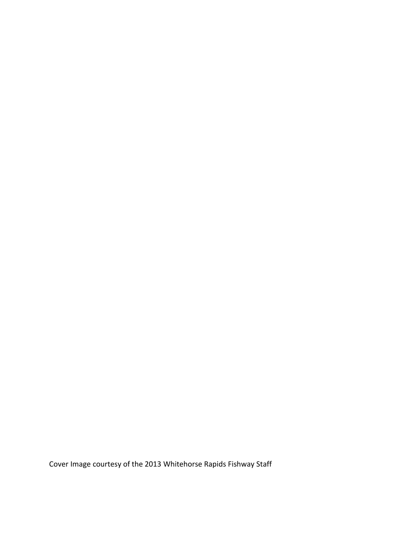Cover Image courtesy of the 2013 Whitehorse Rapids Fishway Staff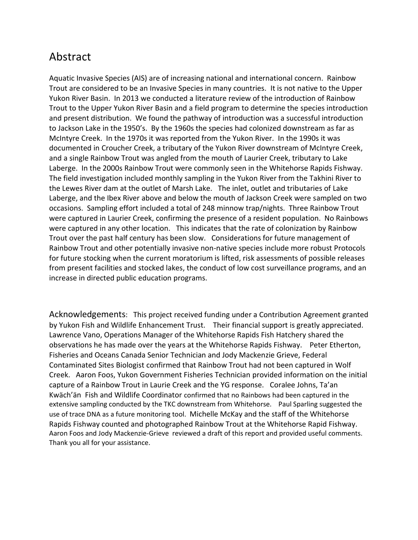## Abstract

Aquatic Invasive Species (AIS) are of increasing national and international concern. Rainbow Trout are considered to be an Invasive Species in many countries. It is not native to the Upper Yukon River Basin. In 2013 we conducted a literature review of the introduction of Rainbow Trout to the Upper Yukon River Basin and a field program to determine the species introduction and present distribution. We found the pathway of introduction was a successful introduction to Jackson Lake in the 1950's. By the 1960s the species had colonized downstream as far as McIntyre Creek. In the 1970s it was reported from the Yukon River. In the 1990s it was documented in Croucher Creek, a tributary of the Yukon River downstream of McIntyre Creek, and a single Rainbow Trout was angled from the mouth of Laurier Creek, tributary to Lake Laberge. In the 2000s Rainbow Trout were commonly seen in the Whitehorse Rapids Fishway. The field investigation included monthly sampling in the Yukon River from the Takhini River to the Lewes River dam at the outlet of Marsh Lake. The inlet, outlet and tributaries of Lake Laberge, and the Ibex River above and below the mouth of Jackson Creek were sampled on two occasions. Sampling effort included a total of 248 minnow trap/nights. Three Rainbow Trout were captured in Laurier Creek, confirming the presence of a resident population. No Rainbows were captured in any other location. This indicates that the rate of colonization by Rainbow Trout over the past half century has been slow. Considerations for future management of Rainbow Trout and other potentially invasive non-native species include more robust Protocols for future stocking when the current moratorium is lifted, risk assessments of possible releases from present facilities and stocked lakes, the conduct of low cost surveillance programs, and an increase in directed public education programs.

Acknowledgements: This project received funding under a Contribution Agreement granted by Yukon Fish and Wildlife Enhancement Trust. Their financial support is greatly appreciated. Lawrence Vano, Operations Manager of the Whitehorse Rapids Fish Hatchery shared the observations he has made over the years at the Whitehorse Rapids Fishway. Peter Etherton, Fisheries and Oceans Canada Senior Technician and Jody Mackenzie Grieve, Federal Contaminated Sites Biologist confirmed that Rainbow Trout had not been captured in Wolf Creek. Aaron Foos, Yukon Government Fisheries Technician provided information on the initial capture of a Rainbow Trout in Laurie Creek and the YG response. Coralee Johns, Ta'an Kwӓch'ӓn Fish and Wildlife Coordinator confirmed that no Rainbows had been captured in the extensive sampling conducted by the TKC downstream from Whitehorse. Paul Sparling suggested the use of trace DNA as a future monitoring tool. Michelle McKay and the staff of the Whitehorse Rapids Fishway counted and photographed Rainbow Trout at the Whitehorse Rapid Fishway. Aaron Foos and Jody Mackenzie-Grieve reviewed a draft of this report and provided useful comments. Thank you all for your assistance.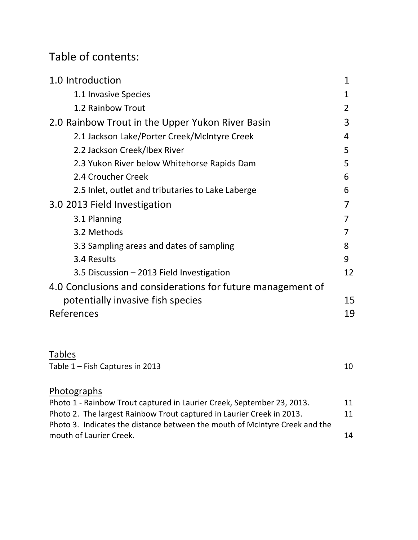## Table of contents:

| 1.0 Introduction                                                                                       | 1  |  |  |  |  |
|--------------------------------------------------------------------------------------------------------|----|--|--|--|--|
| 1.1 Invasive Species                                                                                   | 1  |  |  |  |  |
| 1.2 Rainbow Trout                                                                                      | 2  |  |  |  |  |
| 2.0 Rainbow Trout in the Upper Yukon River Basin                                                       | 3  |  |  |  |  |
| 2.1 Jackson Lake/Porter Creek/McIntyre Creek                                                           | 4  |  |  |  |  |
| 2.2 Jackson Creek/Ibex River                                                                           | 5  |  |  |  |  |
| 2.3 Yukon River below Whitehorse Rapids Dam                                                            | 5  |  |  |  |  |
| 2.4 Croucher Creek                                                                                     | 6  |  |  |  |  |
| 2.5 Inlet, outlet and tributaries to Lake Laberge                                                      | 6  |  |  |  |  |
| 3.0 2013 Field Investigation                                                                           | 7  |  |  |  |  |
| 3.1 Planning                                                                                           | 7  |  |  |  |  |
| 3.2 Methods                                                                                            | 7  |  |  |  |  |
| 3.3 Sampling areas and dates of sampling                                                               | 8  |  |  |  |  |
| 3.4 Results                                                                                            | 9  |  |  |  |  |
| 3.5 Discussion - 2013 Field Investigation                                                              | 12 |  |  |  |  |
| 4.0 Conclusions and considerations for future management of                                            |    |  |  |  |  |
| potentially invasive fish species                                                                      |    |  |  |  |  |
| References                                                                                             | 19 |  |  |  |  |
|                                                                                                        |    |  |  |  |  |
| <b>Tables</b>                                                                                          |    |  |  |  |  |
| Table 1 - Fish Captures in 2013                                                                        | 10 |  |  |  |  |
| Photographs                                                                                            |    |  |  |  |  |
| Photo 1 - Rainbow Trout captured in Laurier Creek, September 23, 2013.                                 | 11 |  |  |  |  |
| Photo 2. The largest Rainbow Trout captured in Laurier Creek in 2013.                                  | 11 |  |  |  |  |
| Photo 3. Indicates the distance between the mouth of McIntyre Creek and the<br>mouth of Laurier Creek. | 14 |  |  |  |  |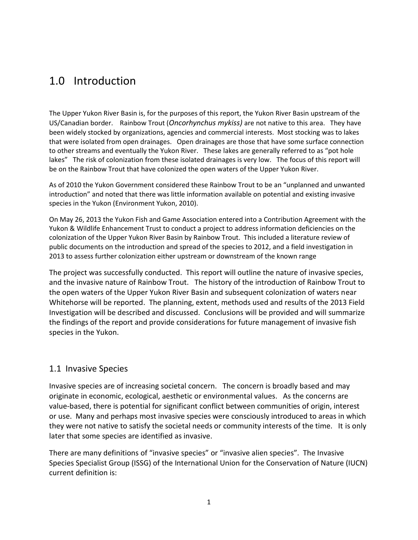## 1.0 Introduction

The Upper Yukon River Basin is, for the purposes of this report, the Yukon River Basin upstream of the US/Canadian border. Rainbow Trout (*Oncorhynchus mykiss)* are not native to this area. They have been widely stocked by organizations, agencies and commercial interests. Most stocking was to lakes that were isolated from open drainages. Open drainages are those that have some surface connection to other streams and eventually the Yukon River. These lakes are generally referred to as "pot hole lakes" The risk of colonization from these isolated drainages is very low. The focus of this report will be on the Rainbow Trout that have colonized the open waters of the Upper Yukon River.

As of 2010 the Yukon Government considered these Rainbow Trout to be an "unplanned and unwanted introduction" and noted that there was little information available on potential and existing invasive species in the Yukon (Environment Yukon, 2010).

On May 26, 2013 the Yukon Fish and Game Association entered into a Contribution Agreement with the Yukon & Wildlife Enhancement Trust to conduct a project to address information deficiencies on the colonization of the Upper Yukon River Basin by Rainbow Trout. This included a literature review of public documents on the introduction and spread of the species to 2012, and a field investigation in 2013 to assess further colonization either upstream or downstream of the known range

The project was successfully conducted. This report will outline the nature of invasive species, and the invasive nature of Rainbow Trout. The history of the introduction of Rainbow Trout to the open waters of the Upper Yukon River Basin and subsequent colonization of waters near Whitehorse will be reported. The planning, extent, methods used and results of the 2013 Field Investigation will be described and discussed. Conclusions will be provided and will summarize the findings of the report and provide considerations for future management of invasive fish species in the Yukon.

### 1.1 Invasive Species

Invasive species are of increasing societal concern. The concern is broadly based and may originate in economic, ecological, aesthetic or environmental values. As the concerns are value-based, there is potential for significant conflict between communities of origin, interest or use. Many and perhaps most invasive species were consciously introduced to areas in which they were not native to satisfy the societal needs or community interests of the time. It is only later that some species are identified as invasive.

There are many definitions of "invasive species" or "invasive alien species". The Invasive Species Specialist Group (ISSG) of the International Union for the Conservation of Nature (IUCN) current definition is: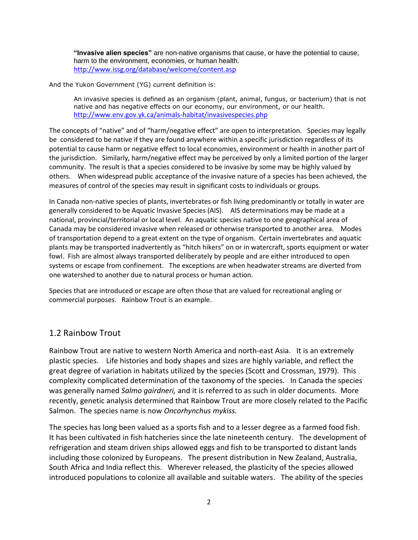**"Invasive alien species"** are non-native organisms that cause, or have the potential to cause, harm to the environment, economies, or human health. <http://www.issg.org/database/welcome/content.asp>

And the Yukon Government (YG) current definition is:

An invasive species is defined as an organism (plant, animal, fungus, or bacterium) that is not native and has negative effects on our economy, our environment, or our health. <http://www.env.gov.yk.ca/animals-habitat/invasivespecies.php>

The concepts of "native" and of "harm/negative effect" are open to interpretation. Species may legally be considered to be native if they are found anywhere within a specific jurisdiction regardless of its potential to cause harm or negative effect to local economies, environment or health in another part of the jurisdiction. Similarly, harm/negative effect may be perceived by only a limited portion of the larger community. The result is that a species considered to be invasive by some may be highly valued by others. When widespread public acceptance of the invasive nature of a species has been achieved, the measures of control of the species may result in significant costs to individuals or groups.

In Canada non-native species of plants, invertebrates or fish living predominantly or totally in water are generally considered to be Aquatic Invasive Species (AIS). AIS determinations may be made at a national, provincial/territorial or local level. An aquatic species native to one geographical area of Canada may be considered invasive when released or otherwise transported to another area. Modes of transportation depend to a great extent on the type of organism. Certain invertebrates and aquatic plants may be transported inadvertently as "hitch hikers" on or in watercraft, sports equipment or water fowl. Fish are almost always transported deliberately by people and are either introduced to open systems or escape from confinement. The exceptions are when headwater streams are diverted from one watershed to another due to natural process or human action.

Species that are introduced or escape are often those that are valued for recreational angling or commercial purposes. Rainbow Trout is an example.

### 1.2 Rainbow Trout

Rainbow Trout are native to western North America and north-east Asia. It is an extremely plastic species. Life histories and body shapes and sizes are highly variable, and reflect the great degree of variation in habitats utilized by the species (Scott and Crossman, 1979). This complexity complicated determination of the taxonomy of the species. In Canada the species was generally named *Salmo gairdneri,* and it is referred to as such in older documents. More recently, genetic analysis determined that Rainbow Trout are more closely related to the Pacific Salmon. The species name is now *Oncorhynchus mykiss.*

The species has long been valued as a sports fish and to a lesser degree as a farmed food fish. It has been cultivated in fish hatcheries since the late nineteenth century. The development of refrigeration and steam driven ships allowed eggs and fish to be transported to distant lands including those colonized by Europeans. The present distribution in New Zealand, Australia, South Africa and India reflect this. Wherever released, the plasticity of the species allowed introduced populations to colonize all available and suitable waters. The ability of the species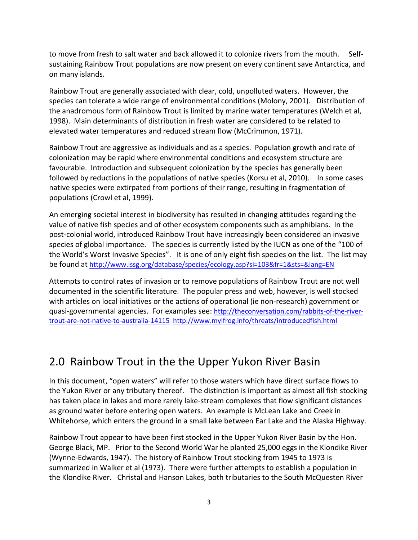to move from fresh to salt water and back allowed it to colonize rivers from the mouth. Selfsustaining Rainbow Trout populations are now present on every continent save Antarctica, and on many islands.

Rainbow Trout are generally associated with clear, cold, unpolluted waters. However, the species can tolerate a wide range of environmental conditions (Molony, 2001). Distribution of the anadromous form of Rainbow Trout is limited by marine water temperatures (Welch et al, 1998). Main determinants of distribution in fresh water are considered to be related to elevated water temperatures and reduced stream flow (McCrimmon, 1971).

Rainbow Trout are aggressive as individuals and as a species. Population growth and rate of colonization may be rapid where environmental conditions and ecosystem structure are favourable. Introduction and subsequent colonization by the species has generally been followed by reductions in the populations of native species (Korsu et al, 2010). In some cases native species were extirpated from portions of their range, resulting in fragmentation of populations (Crowl et al, 1999).

An emerging societal interest in biodiversity has resulted in changing attitudes regarding the value of native fish species and of other ecosystem components such as amphibians. In the post-colonial world, introduced Rainbow Trout have increasingly been considered an invasive species of global importance. The species is currently listed by the IUCN as one of the "100 of the World's Worst Invasive Species". It is one of only eight fish species on the list. The list may be found at <http://www.issg.org/database/species/ecology.asp?si=103&fr=1&sts=&lang=EN>

Attempts to control rates of invasion or to remove populations of Rainbow Trout are not well documented in the scientific literature. The popular press and web, however, is well stocked with articles on local initiatives or the actions of operational (ie non-research) government or quasi-governmental agencies. For examples see: [http://theconversation.com/rabbits-of-the-river](http://theconversation.com/rabbits-of-the-river-trout-are-not-native-to-australia-14115)[trout-are-not-native-to-australia-14115](http://theconversation.com/rabbits-of-the-river-trout-are-not-native-to-australia-14115) <http://www.mylfrog.info/threats/introducedfish.html>

## 2.0 Rainbow Trout in the the Upper Yukon River Basin

In this document, "open waters" will refer to those waters which have direct surface flows to the Yukon River or any tributary thereof. The distinction is important as almost all fish stocking has taken place in lakes and more rarely lake-stream complexes that flow significant distances as ground water before entering open waters. An example is McLean Lake and Creek in Whitehorse, which enters the ground in a small lake between Ear Lake and the Alaska Highway.

Rainbow Trout appear to have been first stocked in the Upper Yukon River Basin by the Hon. George Black, MP. Prior to the Second World War he planted 25,000 eggs in the Klondike River (Wynne-Edwards, 1947). The history of Rainbow Trout stocking from 1945 to 1973 is summarized in Walker et al (1973). There were further attempts to establish a population in the Klondike River. Christal and Hanson Lakes, both tributaries to the South McQuesten River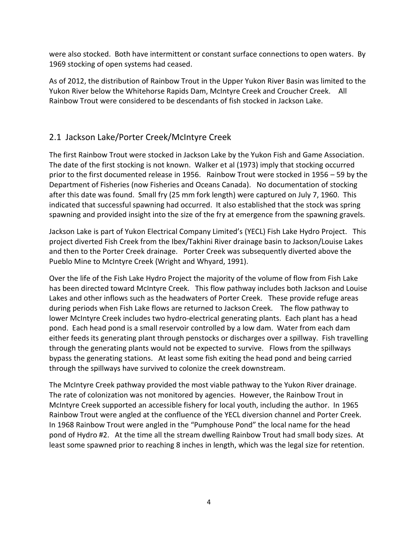were also stocked. Both have intermittent or constant surface connections to open waters. By 1969 stocking of open systems had ceased.

As of 2012, the distribution of Rainbow Trout in the Upper Yukon River Basin was limited to the Yukon River below the Whitehorse Rapids Dam, McIntyre Creek and Croucher Creek. All Rainbow Trout were considered to be descendants of fish stocked in Jackson Lake.

## 2.1 Jackson Lake/Porter Creek/McIntyre Creek

The first Rainbow Trout were stocked in Jackson Lake by the Yukon Fish and Game Association. The date of the first stocking is not known. Walker et al (1973) imply that stocking occurred prior to the first documented release in 1956. Rainbow Trout were stocked in 1956 – 59 by the Department of Fisheries (now Fisheries and Oceans Canada). No documentation of stocking after this date was found. Small fry (25 mm fork length) were captured on July 7, 1960. This indicated that successful spawning had occurred. It also established that the stock was spring spawning and provided insight into the size of the fry at emergence from the spawning gravels.

Jackson Lake is part of Yukon Electrical Company Limited's (YECL) Fish Lake Hydro Project. This project diverted Fish Creek from the Ibex/Takhini River drainage basin to Jackson/Louise Lakes and then to the Porter Creek drainage. Porter Creek was subsequently diverted above the Pueblo Mine to McIntyre Creek (Wright and Whyard, 1991).

Over the life of the Fish Lake Hydro Project the majority of the volume of flow from Fish Lake has been directed toward McIntyre Creek. This flow pathway includes both Jackson and Louise Lakes and other inflows such as the headwaters of Porter Creek. These provide refuge areas during periods when Fish Lake flows are returned to Jackson Creek. The flow pathway to lower McIntyre Creek includes two hydro-electrical generating plants. Each plant has a head pond. Each head pond is a small reservoir controlled by a low dam. Water from each dam either feeds its generating plant through penstocks or discharges over a spillway. Fish travelling through the generating plants would not be expected to survive. Flows from the spillways bypass the generating stations. At least some fish exiting the head pond and being carried through the spillways have survived to colonize the creek downstream.

The McIntyre Creek pathway provided the most viable pathway to the Yukon River drainage. The rate of colonization was not monitored by agencies. However, the Rainbow Trout in McIntyre Creek supported an accessible fishery for local youth, including the author. In 1965 Rainbow Trout were angled at the confluence of the YECL diversion channel and Porter Creek. In 1968 Rainbow Trout were angled in the "Pumphouse Pond" the local name for the head pond of Hydro #2. At the time all the stream dwelling Rainbow Trout had small body sizes. At least some spawned prior to reaching 8 inches in length, which was the legal size for retention.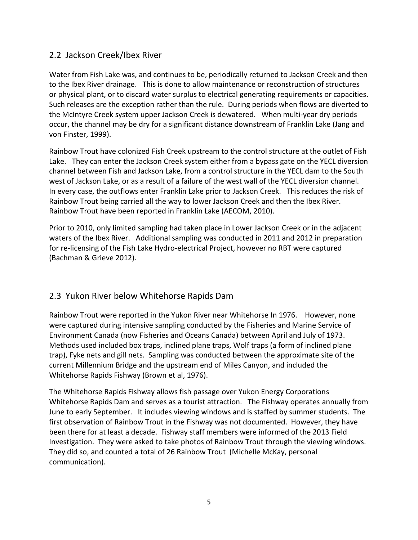### 2.2 Jackson Creek/Ibex River

Water from Fish Lake was, and continues to be, periodically returned to Jackson Creek and then to the Ibex River drainage. This is done to allow maintenance or reconstruction of structures or physical plant, or to discard water surplus to electrical generating requirements or capacities. Such releases are the exception rather than the rule. During periods when flows are diverted to the McIntyre Creek system upper Jackson Creek is dewatered. When multi-year dry periods occur, the channel may be dry for a significant distance downstream of Franklin Lake (Jang and von Finster, 1999).

Rainbow Trout have colonized Fish Creek upstream to the control structure at the outlet of Fish Lake. They can enter the Jackson Creek system either from a bypass gate on the YECL diversion channel between Fish and Jackson Lake, from a control structure in the YECL dam to the South west of Jackson Lake, or as a result of a failure of the west wall of the YECL diversion channel. In every case, the outflows enter Franklin Lake prior to Jackson Creek. This reduces the risk of Rainbow Trout being carried all the way to lower Jackson Creek and then the Ibex River. Rainbow Trout have been reported in Franklin Lake (AECOM, 2010).

Prior to 2010, only limited sampling had taken place in Lower Jackson Creek or in the adjacent waters of the Ibex River. Additional sampling was conducted in 2011 and 2012 in preparation for re-licensing of the Fish Lake Hydro-electrical Project, however no RBT were captured (Bachman & Grieve 2012).

### 2.3 Yukon River below Whitehorse Rapids Dam

Rainbow Trout were reported in the Yukon River near Whitehorse In 1976. However, none were captured during intensive sampling conducted by the Fisheries and Marine Service of Environment Canada (now Fisheries and Oceans Canada) between April and July of 1973. Methods used included box traps, inclined plane traps, Wolf traps (a form of inclined plane trap), Fyke nets and gill nets. Sampling was conducted between the approximate site of the current Millennium Bridge and the upstream end of Miles Canyon, and included the Whitehorse Rapids Fishway (Brown et al, 1976).

The Whitehorse Rapids Fishway allows fish passage over Yukon Energy Corporations Whitehorse Rapids Dam and serves as a tourist attraction. The Fishway operates annually from June to early September. It includes viewing windows and is staffed by summer students. The first observation of Rainbow Trout in the Fishway was not documented. However, they have been there for at least a decade. Fishway staff members were informed of the 2013 Field Investigation. They were asked to take photos of Rainbow Trout through the viewing windows. They did so, and counted a total of 26 Rainbow Trout (Michelle McKay, personal communication).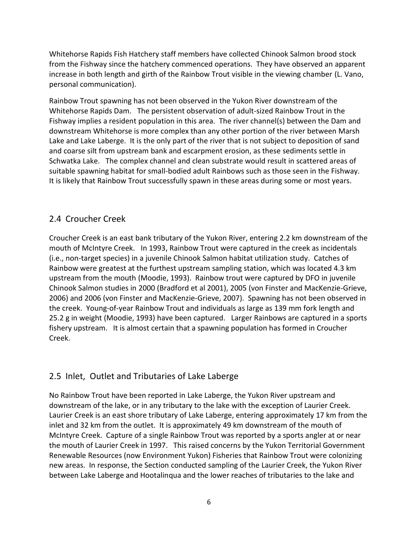Whitehorse Rapids Fish Hatchery staff members have collected Chinook Salmon brood stock from the Fishway since the hatchery commenced operations. They have observed an apparent increase in both length and girth of the Rainbow Trout visible in the viewing chamber (L. Vano, personal communication).

Rainbow Trout spawning has not been observed in the Yukon River downstream of the Whitehorse Rapids Dam. The persistent observation of adult-sized Rainbow Trout in the Fishway implies a resident population in this area. The river channel(s) between the Dam and downstream Whitehorse is more complex than any other portion of the river between Marsh Lake and Lake Laberge. It is the only part of the river that is not subject to deposition of sand and coarse silt from upstream bank and escarpment erosion, as these sediments settle in Schwatka Lake. The complex channel and clean substrate would result in scattered areas of suitable spawning habitat for small-bodied adult Rainbows such as those seen in the Fishway. It is likely that Rainbow Trout successfully spawn in these areas during some or most years.

### 2.4 Croucher Creek

Croucher Creek is an east bank tributary of the Yukon River, entering 2.2 km downstream of the mouth of McIntyre Creek. In 1993, Rainbow Trout were captured in the creek as incidentals (i.e., non-target species) in a juvenile Chinook Salmon habitat utilization study. Catches of Rainbow were greatest at the furthest upstream sampling station, which was located 4.3 km upstream from the mouth (Moodie, 1993). Rainbow trout were captured by DFO in juvenile Chinook Salmon studies in 2000 (Bradford et al 2001), 2005 (von Finster and MacKenzie-Grieve, 2006) and 2006 (von Finster and MacKenzie-Grieve, 2007). Spawning has not been observed in the creek. Young-of-year Rainbow Trout and individuals as large as 139 mm fork length and 25.2 g in weight (Moodie, 1993) have been captured. Larger Rainbows are captured in a sports fishery upstream. It is almost certain that a spawning population has formed in Croucher Creek.

### 2.5 Inlet, Outlet and Tributaries of Lake Laberge

No Rainbow Trout have been reported in Lake Laberge, the Yukon River upstream and downstream of the lake, or in any tributary to the lake with the exception of Laurier Creek. Laurier Creek is an east shore tributary of Lake Laberge, entering approximately 17 km from the inlet and 32 km from the outlet. It is approximately 49 km downstream of the mouth of McIntyre Creek. Capture of a single Rainbow Trout was reported by a sports angler at or near the mouth of Laurier Creek in 1997. This raised concerns by the Yukon Territorial Government Renewable Resources (now Environment Yukon) Fisheries that Rainbow Trout were colonizing new areas. In response, the Section conducted sampling of the Laurier Creek, the Yukon River between Lake Laberge and Hootalinqua and the lower reaches of tributaries to the lake and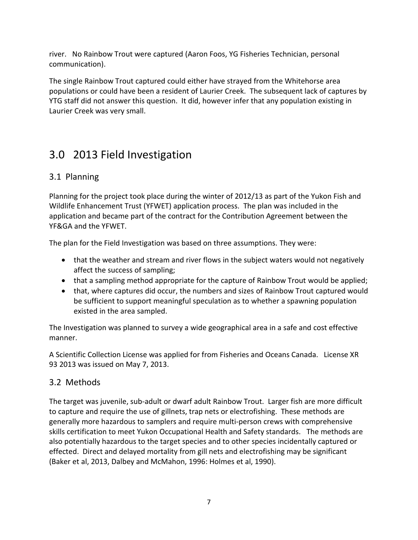river. No Rainbow Trout were captured (Aaron Foos, YG Fisheries Technician, personal communication).

The single Rainbow Trout captured could either have strayed from the Whitehorse area populations or could have been a resident of Laurier Creek. The subsequent lack of captures by YTG staff did not answer this question. It did, however infer that any population existing in Laurier Creek was very small.

## 3.0 2013 Field Investigation

## 3.1 Planning

Planning for the project took place during the winter of 2012/13 as part of the Yukon Fish and Wildlife Enhancement Trust (YFWET) application process. The plan was included in the application and became part of the contract for the Contribution Agreement between the YF&GA and the YFWET.

The plan for the Field Investigation was based on three assumptions. They were:

- that the weather and stream and river flows in the subject waters would not negatively affect the success of sampling;
- that a sampling method appropriate for the capture of Rainbow Trout would be applied;
- that, where captures did occur, the numbers and sizes of Rainbow Trout captured would be sufficient to support meaningful speculation as to whether a spawning population existed in the area sampled.

The Investigation was planned to survey a wide geographical area in a safe and cost effective manner.

A Scientific Collection License was applied for from Fisheries and Oceans Canada. License XR 93 2013 was issued on May 7, 2013.

## 3.2 Methods

The target was juvenile, sub-adult or dwarf adult Rainbow Trout. Larger fish are more difficult to capture and require the use of gillnets, trap nets or electrofishing. These methods are generally more hazardous to samplers and require multi-person crews with comprehensive skills certification to meet Yukon Occupational Health and Safety standards. The methods are also potentially hazardous to the target species and to other species incidentally captured or effected. Direct and delayed mortality from gill nets and electrofishing may be significant (Baker et al, 2013, Dalbey and McMahon, 1996: Holmes et al, 1990).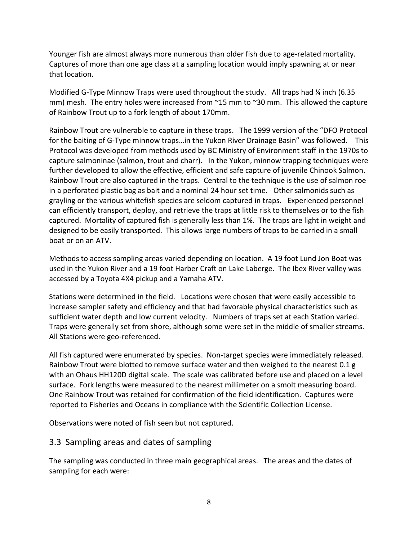Younger fish are almost always more numerous than older fish due to age-related mortality. Captures of more than one age class at a sampling location would imply spawning at or near that location.

Modified G-Type Minnow Traps were used throughout the study. All traps had  $\frac{1}{4}$  inch (6.35 mm) mesh. The entry holes were increased from ~15 mm to ~30 mm. This allowed the capture of Rainbow Trout up to a fork length of about 170mm.

Rainbow Trout are vulnerable to capture in these traps. The 1999 version of the "DFO Protocol for the baiting of G-Type minnow traps…in the Yukon River Drainage Basin" was followed. This Protocol was developed from methods used by BC Ministry of Environment staff in the 1970s to capture salmoninae (salmon, trout and charr). In the Yukon, minnow trapping techniques were further developed to allow the effective, efficient and safe capture of juvenile Chinook Salmon. Rainbow Trout are also captured in the traps. Central to the technique is the use of salmon roe in a perforated plastic bag as bait and a nominal 24 hour set time. Other salmonids such as grayling or the various whitefish species are seldom captured in traps. Experienced personnel can efficiently transport, deploy, and retrieve the traps at little risk to themselves or to the fish captured. Mortality of captured fish is generally less than 1%. The traps are light in weight and designed to be easily transported. This allows large numbers of traps to be carried in a small boat or on an ATV.

Methods to access sampling areas varied depending on location. A 19 foot Lund Jon Boat was used in the Yukon River and a 19 foot Harber Craft on Lake Laberge. The Ibex River valley was accessed by a Toyota 4X4 pickup and a Yamaha ATV.

Stations were determined in the field. Locations were chosen that were easily accessible to increase sampler safety and efficiency and that had favorable physical characteristics such as sufficient water depth and low current velocity. Numbers of traps set at each Station varied. Traps were generally set from shore, although some were set in the middle of smaller streams. All Stations were geo-referenced.

All fish captured were enumerated by species. Non-target species were immediately released. Rainbow Trout were blotted to remove surface water and then weighed to the nearest 0.1 g with an Ohaus HH120D digital scale. The scale was calibrated before use and placed on a level surface. Fork lengths were measured to the nearest millimeter on a smolt measuring board. One Rainbow Trout was retained for confirmation of the field identification. Captures were reported to Fisheries and Oceans in compliance with the Scientific Collection License.

Observations were noted of fish seen but not captured.

### 3.3 Sampling areas and dates of sampling

The sampling was conducted in three main geographical areas. The areas and the dates of sampling for each were: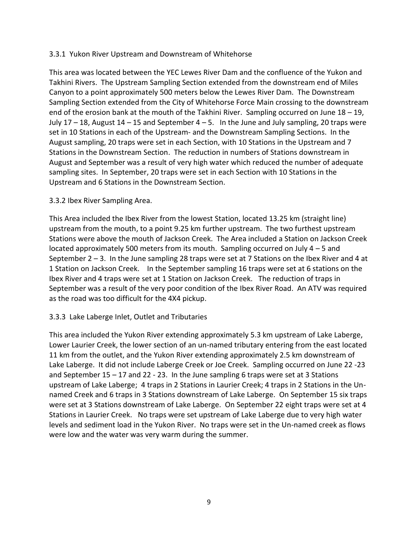#### 3.3.1 Yukon River Upstream and Downstream of Whitehorse

This area was located between the YEC Lewes River Dam and the confluence of the Yukon and Takhini Rivers. The Upstream Sampling Section extended from the downstream end of Miles Canyon to a point approximately 500 meters below the Lewes River Dam. The Downstream Sampling Section extended from the City of Whitehorse Force Main crossing to the downstream end of the erosion bank at the mouth of the Takhini River. Sampling occurred on June 18 – 19, July  $17 - 18$ , August  $14 - 15$  and September  $4 - 5$ . In the June and July sampling, 20 traps were set in 10 Stations in each of the Upstream- and the Downstream Sampling Sections. In the August sampling, 20 traps were set in each Section, with 10 Stations in the Upstream and 7 Stations in the Downstream Section. The reduction in numbers of Stations downstream in August and September was a result of very high water which reduced the number of adequate sampling sites. In September, 20 traps were set in each Section with 10 Stations in the Upstream and 6 Stations in the Downstream Section.

#### 3.3.2 Ibex River Sampling Area.

This Area included the Ibex River from the lowest Station, located 13.25 km (straight line) upstream from the mouth, to a point 9.25 km further upstream. The two furthest upstream Stations were above the mouth of Jackson Creek. The Area included a Station on Jackson Creek located approximately 500 meters from its mouth. Sampling occurred on July  $4 - 5$  and September  $2 - 3$ . In the June sampling 28 traps were set at 7 Stations on the Ibex River and 4 at 1 Station on Jackson Creek. In the September sampling 16 traps were set at 6 stations on the Ibex River and 4 traps were set at 1 Station on Jackson Creek. The reduction of traps in September was a result of the very poor condition of the Ibex River Road. An ATV was required as the road was too difficult for the 4X4 pickup.

#### 3.3.3 Lake Laberge Inlet, Outlet and Tributaries

This area included the Yukon River extending approximately 5.3 km upstream of Lake Laberge, Lower Laurier Creek, the lower section of an un-named tributary entering from the east located 11 km from the outlet, and the Yukon River extending approximately 2.5 km downstream of Lake Laberge. It did not include Laberge Creek or Joe Creek. Sampling occurred on June 22 -23 and September 15 – 17 and 22 - 23. In the June sampling 6 traps were set at 3 Stations upstream of Lake Laberge; 4 traps in 2 Stations in Laurier Creek; 4 traps in 2 Stations in the Unnamed Creek and 6 traps in 3 Stations downstream of Lake Laberge. On September 15 six traps were set at 3 Stations downstream of Lake Laberge. On September 22 eight traps were set at 4 Stations in Laurier Creek. No traps were set upstream of Lake Laberge due to very high water levels and sediment load in the Yukon River. No traps were set in the Un-named creek as flows were low and the water was very warm during the summer.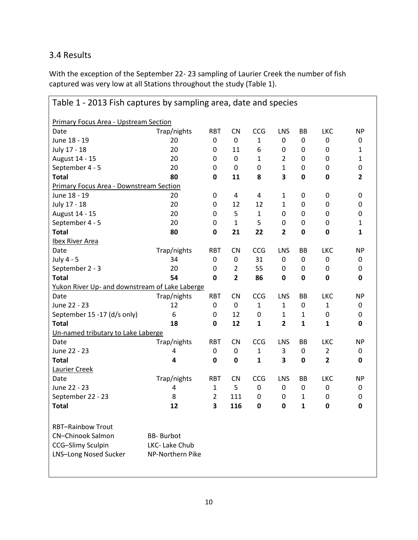## 3.4 Results

With the exception of the September 22- 23 sampling of Laurier Creek the number of fish captured was very low at all Stations throughout the study (Table 1).

| Table 1 - 2013 Fish captures by sampling area, date and species                                           |                                                         |                  |                  |              |                |             |                         |              |  |  |
|-----------------------------------------------------------------------------------------------------------|---------------------------------------------------------|------------------|------------------|--------------|----------------|-------------|-------------------------|--------------|--|--|
| <b>Primary Focus Area - Upstream Section</b>                                                              |                                                         |                  |                  |              |                |             |                         |              |  |  |
| Date                                                                                                      | Trap/nights                                             | <b>RBT</b>       | <b>CN</b>        | CCG          | LNS            | BB          | LKC                     | <b>NP</b>    |  |  |
| June 18 - 19                                                                                              | 20                                                      | $\mathbf 0$      | 0                | 1            | 0              | 0           | 0                       | 0            |  |  |
| July 17 - 18                                                                                              | 20                                                      | $\mathbf 0$      | 11               | 6            | $\mathbf 0$    | 0           | 0                       | 1            |  |  |
| August 14 - 15                                                                                            | 20                                                      | $\mathbf 0$      | $\boldsymbol{0}$ | 1            | 2              | 0           | 0                       | 1            |  |  |
| September 4 - 5                                                                                           | 20                                                      | $\mathbf 0$      | 0                | $\mathbf 0$  | $\mathbf{1}$   | $\mathbf 0$ | 0                       | 0            |  |  |
| <b>Total</b>                                                                                              | 80                                                      | 0                | 11               | 8            | 3              | 0           | 0                       | 2            |  |  |
| <b>Primary Focus Area - Downstream Section</b>                                                            |                                                         |                  |                  |              |                |             |                         |              |  |  |
| June 18 - 19                                                                                              | 20                                                      | $\pmb{0}$        | 4                | 4            | 1              | 0           | 0                       | 0            |  |  |
| July 17 - 18                                                                                              | 20                                                      | $\mathbf 0$      | 12               | 12           | $\mathbf{1}$   | 0           | 0                       | 0            |  |  |
| August 14 - 15                                                                                            | 20                                                      | 0                | 5                | 1            | 0              | 0           | 0                       | 0            |  |  |
| September 4 - 5                                                                                           | 20                                                      | $\boldsymbol{0}$ | $\mathbf{1}$     | 5            | 0              | 0           | 0                       | $\mathbf{1}$ |  |  |
| <b>Total</b>                                                                                              | 80                                                      | $\bf{0}$         | 21               | 22           | 2              | 0           | $\mathbf 0$             | 1            |  |  |
| <b>Ibex River Area</b>                                                                                    |                                                         |                  |                  |              |                |             |                         |              |  |  |
| Date                                                                                                      | Trap/nights                                             | <b>RBT</b>       | <b>CN</b>        | CCG          | LNS            | BB          | <b>LKC</b>              | <b>NP</b>    |  |  |
| July 4 - 5                                                                                                | 34                                                      | $\mathbf 0$      | $\mathbf 0$      | 31           | $\mathbf 0$    | 0           | $\mathbf 0$             | 0            |  |  |
| September 2 - 3                                                                                           | 20                                                      | $\mathbf 0$      | $\overline{2}$   | 55           | $\mathbf 0$    | 0           | 0                       | 0            |  |  |
| <b>Total</b>                                                                                              | 54                                                      | $\mathbf 0$      | $\overline{2}$   | 86           | $\mathbf 0$    | $\mathbf 0$ | $\mathbf 0$             | 0            |  |  |
| Yukon River Up- and downstream of Lake Laberge                                                            |                                                         |                  |                  |              |                |             |                         |              |  |  |
| Date                                                                                                      | Trap/nights                                             | <b>RBT</b>       | <b>CN</b>        | CCG          | LNS            | BB          | <b>LKC</b>              | <b>NP</b>    |  |  |
| June 22 - 23                                                                                              | 12                                                      | $\mathbf 0$      | 0                | $\mathbf{1}$ | $\mathbf{1}$   | 0           | $\mathbf{1}$            | 0            |  |  |
| September 15 -17 (d/s only)                                                                               | 6                                                       | $\mathbf 0$      | 12               | 0            | 1              | 1           | 0                       | 0            |  |  |
| <b>Total</b>                                                                                              | 18                                                      | 0                | 12               | $\mathbf{1}$ | $\overline{2}$ | 1           | $\mathbf{1}$            | 0            |  |  |
| Un-named tributary to Lake Laberge                                                                        |                                                         |                  |                  |              |                |             |                         |              |  |  |
| Date                                                                                                      | Trap/nights                                             | <b>RBT</b>       | <b>CN</b>        | CCG          | LNS            | BB          | <b>LKC</b>              | <b>NP</b>    |  |  |
| June 22 - 23                                                                                              | 4                                                       | $\mathbf 0$      | 0                | 1            | 3              | 0           | $\overline{2}$          | 0            |  |  |
| <b>Total</b>                                                                                              | 4                                                       | $\bf{0}$         | 0                | $\mathbf{1}$ | 3              | $\mathbf 0$ | $\overline{\mathbf{2}}$ | 0            |  |  |
| Laurier Creek                                                                                             |                                                         |                  |                  |              |                |             |                         |              |  |  |
| Date                                                                                                      | Trap/nights                                             | <b>RBT</b>       | CN               | CCG          | LNS            | BB          | <b>LKC</b>              | <b>NP</b>    |  |  |
| June 22 - 23                                                                                              | 4                                                       | 1                | 5                | 0            | $\mathbf 0$    | 0           | 0                       | 0            |  |  |
| September 22 - 23                                                                                         | 8                                                       | $\overline{2}$   | 111              | $\mathbf 0$  | $\mathbf 0$    | 1           | $\mathbf 0$             | 0            |  |  |
| <b>Total</b>                                                                                              | 12                                                      | 3                | 116              | 0            | 0              | 1           | 0                       | 0            |  |  |
| <b>RBT-Rainbow Trout</b><br><b>CN-Chinook Salmon</b><br>CCG-Slimy Sculpin<br><b>LNS-Long Nosed Sucker</b> | <b>BB-</b> Burbot<br>LKC- Lake Chub<br>NP-Northern Pike |                  |                  |              |                |             |                         |              |  |  |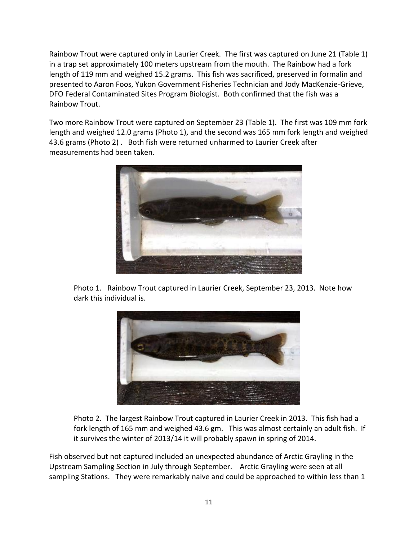Rainbow Trout were captured only in Laurier Creek. The first was captured on June 21 (Table 1) in a trap set approximately 100 meters upstream from the mouth. The Rainbow had a fork length of 119 mm and weighed 15.2 grams. This fish was sacrificed, preserved in formalin and presented to Aaron Foos, Yukon Government Fisheries Technician and Jody MacKenzie-Grieve, DFO Federal Contaminated Sites Program Biologist. Both confirmed that the fish was a Rainbow Trout.

Two more Rainbow Trout were captured on September 23 (Table 1). The first was 109 mm fork length and weighed 12.0 grams (Photo 1), and the second was 165 mm fork length and weighed 43.6 grams (Photo 2) . Both fish were returned unharmed to Laurier Creek after measurements had been taken.



Photo 1. Rainbow Trout captured in Laurier Creek, September 23, 2013. Note how dark this individual is.



Photo 2. The largest Rainbow Trout captured in Laurier Creek in 2013. This fish had a fork length of 165 mm and weighed 43.6 gm. This was almost certainly an adult fish. If it survives the winter of 2013/14 it will probably spawn in spring of 2014.

Fish observed but not captured included an unexpected abundance of Arctic Grayling in the Upstream Sampling Section in July through September. Arctic Grayling were seen at all sampling Stations. They were remarkably naive and could be approached to within less than 1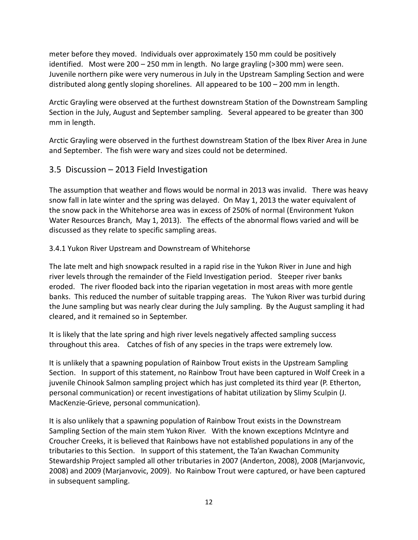meter before they moved. Individuals over approximately 150 mm could be positively identified. Most were 200 – 250 mm in length. No large grayling (>300 mm) were seen. Juvenile northern pike were very numerous in July in the Upstream Sampling Section and were distributed along gently sloping shorelines. All appeared to be 100 – 200 mm in length.

Arctic Grayling were observed at the furthest downstream Station of the Downstream Sampling Section in the July, August and September sampling. Several appeared to be greater than 300 mm in length.

Arctic Grayling were observed in the furthest downstream Station of the Ibex River Area in June and September. The fish were wary and sizes could not be determined.

### 3.5 Discussion – 2013 Field Investigation

The assumption that weather and flows would be normal in 2013 was invalid. There was heavy snow fall in late winter and the spring was delayed. On May 1, 2013 the water equivalent of the snow pack in the Whitehorse area was in excess of 250% of normal (Environment Yukon Water Resources Branch, May 1, 2013). The effects of the abnormal flows varied and will be discussed as they relate to specific sampling areas.

#### 3.4.1 Yukon River Upstream and Downstream of Whitehorse

The late melt and high snowpack resulted in a rapid rise in the Yukon River in June and high river levels through the remainder of the Field Investigation period. Steeper river banks eroded. The river flooded back into the riparian vegetation in most areas with more gentle banks. This reduced the number of suitable trapping areas. The Yukon River was turbid during the June sampling but was nearly clear during the July sampling. By the August sampling it had cleared, and it remained so in September.

It is likely that the late spring and high river levels negatively affected sampling success throughout this area. Catches of fish of any species in the traps were extremely low.

It is unlikely that a spawning population of Rainbow Trout exists in the Upstream Sampling Section. In support of this statement, no Rainbow Trout have been captured in Wolf Creek in a juvenile Chinook Salmon sampling project which has just completed its third year (P. Etherton, personal communication) or recent investigations of habitat utilization by Slimy Sculpin (J. MacKenzie-Grieve, personal communication).

It is also unlikely that a spawning population of Rainbow Trout exists in the Downstream Sampling Section of the main stem Yukon River. With the known exceptions McIntyre and Croucher Creeks, it is believed that Rainbows have not established populations in any of the tributaries to this Section. In support of this statement, the Ta'an Kwachan Community Stewardship Project sampled all other tributaries in 2007 (Anderton, 2008), 2008 (Marjanvovic, 2008) and 2009 (Marjanvovic, 2009). No Rainbow Trout were captured, or have been captured in subsequent sampling.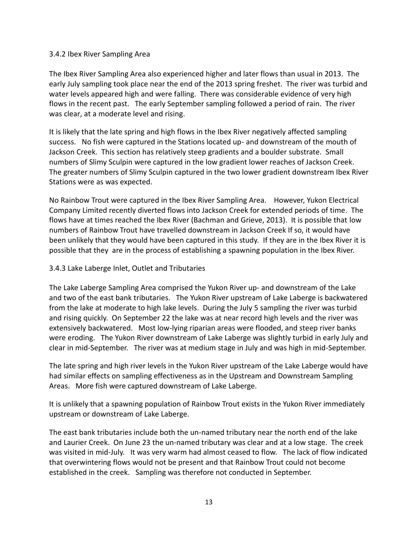#### 3.4.2 Ibex River Sampling Area

The Ibex River Sampling Area also experienced higher and later flows than usual in 2013. The early July sampling took place near the end of the 2013 spring freshet. The river was turbid and water levels appeared high and were falling. There was considerable evidence of very high flows in the recent past. The early September sampling followed a period of rain. The river was clear, at a moderate level and rising.

It is likely that the late spring and high flows in the Ibex River negatively affected sampling success. No fish were captured in the Stations located up- and downstream of the mouth of Jackson Creek. This section has relatively steep gradients and a boulder substrate. Small numbers of Slimy Sculpin were captured in the low gradient lower reaches of Jackson Creek. The greater numbers of Slimy Sculpin captured in the two lower gradient downstream Ibex River Stations were as was expected.

No Rainbow Trout were captured in the Ibex River Sampling Area. However, Yukon Electrical Company Limited recently diverted flows into Jackson Creek for extended periods of time. The flows have at times reached the Ibex River (Bachman and Grieve, 2013). It is possible that low numbers of Rainbow Trout have travelled downstream in Jackson Creek If so, it would have been unlikely that they would have been captured in this study. If they are in the Ibex River it is possible that they are in the process of establishing a spawning population in the Ibex River.

#### 3.4.3 Lake Laberge Inlet, Outlet and Tributaries

The Lake Laberge Sampling Area comprised the Yukon River up- and downstream of the Lake and two of the east bank tributaries. The Yukon River upstream of Lake Laberge is backwatered from the lake at moderate to high lake levels. During the July 5 sampling the river was turbid and rising quickly. On September 22 the lake was at near record high levels and the river was extensively backwatered. Most low-lying riparian areas were flooded, and steep river banks were eroding. The Yukon River downstream of Lake Laberge was slightly turbid in early July and clear in mid-September. The river was at medium stage in July and was high in mid-September.

The late spring and high river levels in the Yukon River upstream of the Lake Laberge would have had similar effects on sampling effectiveness as in the Upstream and Downstream Sampling Areas. More fish were captured downstream of Lake Laberge.

It is unlikely that a spawning population of Rainbow Trout exists in the Yukon River immediately upstream or downstream of Lake Laberge.

The east bank tributaries include both the un-named tributary near the north end of the lake and Laurier Creek. On June 23 the un-named tributary was clear and at a low stage. The creek was visited in mid-July. It was very warm had almost ceased to flow. The lack of flow indicated that overwintering flows would not be present and that Rainbow Trout could not become established in the creek. Sampling was therefore not conducted in September.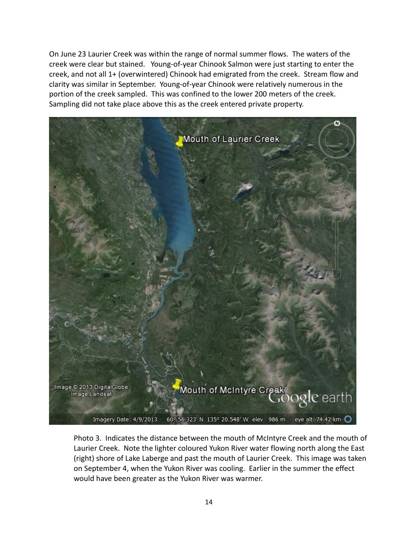On June 23 Laurier Creek was within the range of normal summer flows. The waters of the creek were clear but stained. Young-of-year Chinook Salmon were just starting to enter the creek, and not all 1+ (overwintered) Chinook had emigrated from the creek. Stream flow and clarity was similar in September. Young-of-year Chinook were relatively numerous in the portion of the creek sampled. This was confined to the lower 200 meters of the creek. Sampling did not take place above this as the creek entered private property.



Photo 3. Indicates the distance between the mouth of McIntyre Creek and the mouth of Laurier Creek. Note the lighter coloured Yukon River water flowing north along the East (right) shore of Lake Laberge and past the mouth of Laurier Creek. This image was taken on September 4, when the Yukon River was cooling. Earlier in the summer the effect would have been greater as the Yukon River was warmer.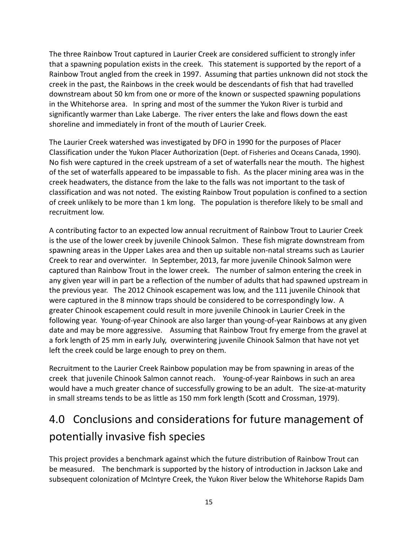The three Rainbow Trout captured in Laurier Creek are considered sufficient to strongly infer that a spawning population exists in the creek. This statement is supported by the report of a Rainbow Trout angled from the creek in 1997. Assuming that parties unknown did not stock the creek in the past, the Rainbows in the creek would be descendants of fish that had travelled downstream about 50 km from one or more of the known or suspected spawning populations in the Whitehorse area. In spring and most of the summer the Yukon River is turbid and significantly warmer than Lake Laberge. The river enters the lake and flows down the east shoreline and immediately in front of the mouth of Laurier Creek.

The Laurier Creek watershed was investigated by DFO in 1990 for the purposes of Placer Classification under the Yukon Placer Authorization (Dept. of Fisheries and Oceans Canada, 1990). No fish were captured in the creek upstream of a set of waterfalls near the mouth. The highest of the set of waterfalls appeared to be impassable to fish. As the placer mining area was in the creek headwaters, the distance from the lake to the falls was not important to the task of classification and was not noted. The existing Rainbow Trout population is confined to a section of creek unlikely to be more than 1 km long. The population is therefore likely to be small and recruitment low.

A contributing factor to an expected low annual recruitment of Rainbow Trout to Laurier Creek is the use of the lower creek by juvenile Chinook Salmon. These fish migrate downstream from spawning areas in the Upper Lakes area and then up suitable non-natal streams such as Laurier Creek to rear and overwinter. In September, 2013, far more juvenile Chinook Salmon were captured than Rainbow Trout in the lower creek. The number of salmon entering the creek in any given year will in part be a reflection of the number of adults that had spawned upstream in the previous year. The 2012 Chinook escapement was low, and the 111 juvenile Chinook that were captured in the 8 minnow traps should be considered to be correspondingly low. A greater Chinook escapement could result in more juvenile Chinook in Laurier Creek in the following year. Young-of-year Chinook are also larger than young-of-year Rainbows at any given date and may be more aggressive. Assuming that Rainbow Trout fry emerge from the gravel at a fork length of 25 mm in early July, overwintering juvenile Chinook Salmon that have not yet left the creek could be large enough to prey on them.

Recruitment to the Laurier Creek Rainbow population may be from spawning in areas of the creek that juvenile Chinook Salmon cannot reach. Young-of-year Rainbows in such an area would have a much greater chance of successfully growing to be an adult. The size-at-maturity in small streams tends to be as little as 150 mm fork length (Scott and Crossman, 1979).

## 4.0 Conclusions and considerations for future management of potentially invasive fish species

This project provides a benchmark against which the future distribution of Rainbow Trout can be measured. The benchmark is supported by the history of introduction in Jackson Lake and subsequent colonization of McIntyre Creek, the Yukon River below the Whitehorse Rapids Dam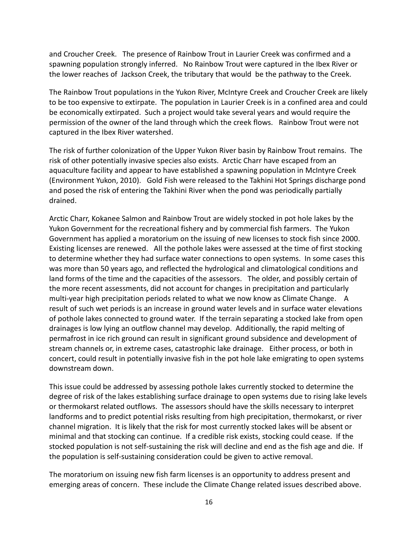and Croucher Creek. The presence of Rainbow Trout in Laurier Creek was confirmed and a spawning population strongly inferred. No Rainbow Trout were captured in the Ibex River or the lower reaches of Jackson Creek, the tributary that would be the pathway to the Creek.

The Rainbow Trout populations in the Yukon River, McIntyre Creek and Croucher Creek are likely to be too expensive to extirpate. The population in Laurier Creek is in a confined area and could be economically extirpated. Such a project would take several years and would require the permission of the owner of the land through which the creek flows. Rainbow Trout were not captured in the Ibex River watershed.

The risk of further colonization of the Upper Yukon River basin by Rainbow Trout remains. The risk of other potentially invasive species also exists. Arctic Charr have escaped from an aquaculture facility and appear to have established a spawning population in McIntyre Creek (Environment Yukon, 2010). Gold Fish were released to the Takhini Hot Springs discharge pond and posed the risk of entering the Takhini River when the pond was periodically partially drained.

Arctic Charr, Kokanee Salmon and Rainbow Trout are widely stocked in pot hole lakes by the Yukon Government for the recreational fishery and by commercial fish farmers. The Yukon Government has applied a moratorium on the issuing of new licenses to stock fish since 2000. Existing licenses are renewed. All the pothole lakes were assessed at the time of first stocking to determine whether they had surface water connections to open systems. In some cases this was more than 50 years ago, and reflected the hydrological and climatological conditions and land forms of the time and the capacities of the assessors. The older, and possibly certain of the more recent assessments, did not account for changes in precipitation and particularly multi-year high precipitation periods related to what we now know as Climate Change. A result of such wet periods is an increase in ground water levels and in surface water elevations of pothole lakes connected to ground water. If the terrain separating a stocked lake from open drainages is low lying an outflow channel may develop. Additionally, the rapid melting of permafrost in ice rich ground can result in significant ground subsidence and development of stream channels or, in extreme cases, catastrophic lake drainage. Either process, or both in concert, could result in potentially invasive fish in the pot hole lake emigrating to open systems downstream down.

This issue could be addressed by assessing pothole lakes currently stocked to determine the degree of risk of the lakes establishing surface drainage to open systems due to rising lake levels or thermokarst related outflows. The assessors should have the skills necessary to interpret landforms and to predict potential risks resulting from high precipitation, thermokarst, or river channel migration. It is likely that the risk for most currently stocked lakes will be absent or minimal and that stocking can continue. If a credible risk exists, stocking could cease. If the stocked population is not self-sustaining the risk will decline and end as the fish age and die. If the population is self-sustaining consideration could be given to active removal.

The moratorium on issuing new fish farm licenses is an opportunity to address present and emerging areas of concern. These include the Climate Change related issues described above.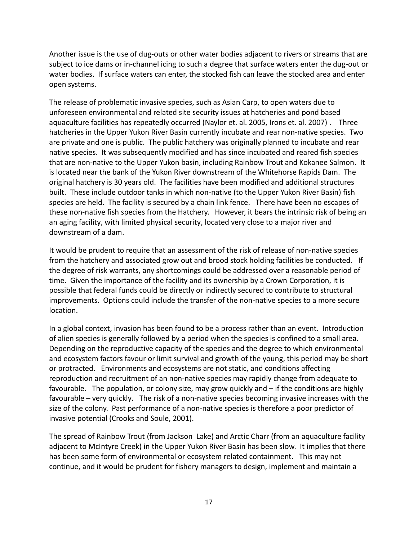Another issue is the use of dug-outs or other water bodies adjacent to rivers or streams that are subject to ice dams or in-channel icing to such a degree that surface waters enter the dug-out or water bodies. If surface waters can enter, the stocked fish can leave the stocked area and enter open systems.

The release of problematic invasive species, such as Asian Carp, to open waters due to unforeseen environmental and related site security issues at hatcheries and pond based aquaculture facilities has repeatedly occurred (Naylor et. al. 2005, Irons et. al. 2007) . Three hatcheries in the Upper Yukon River Basin currently incubate and rear non-native species. Two are private and one is public. The public hatchery was originally planned to incubate and rear native species. It was subsequently modified and has since incubated and reared fish species that are non-native to the Upper Yukon basin, including Rainbow Trout and Kokanee Salmon. It is located near the bank of the Yukon River downstream of the Whitehorse Rapids Dam. The original hatchery is 30 years old. The facilities have been modified and additional structures built. These include outdoor tanks in which non-native (to the Upper Yukon River Basin) fish species are held. The facility is secured by a chain link fence. There have been no escapes of these non-native fish species from the Hatchery. However, it bears the intrinsic risk of being an an aging facility, with limited physical security, located very close to a major river and downstream of a dam.

It would be prudent to require that an assessment of the risk of release of non-native species from the hatchery and associated grow out and brood stock holding facilities be conducted. If the degree of risk warrants, any shortcomings could be addressed over a reasonable period of time. Given the importance of the facility and its ownership by a Crown Corporation, it is possible that federal funds could be directly or indirectly secured to contribute to structural improvements. Options could include the transfer of the non-native species to a more secure location.

In a global context, invasion has been found to be a process rather than an event. Introduction of alien species is generally followed by a period when the species is confined to a small area. Depending on the reproductive capacity of the species and the degree to which environmental and ecosystem factors favour or limit survival and growth of the young, this period may be short or protracted. Environments and ecosystems are not static, and conditions affecting reproduction and recruitment of an non-native species may rapidly change from adequate to favourable. The population, or colony size, may grow quickly and – if the conditions are highly favourable – very quickly. The risk of a non-native species becoming invasive increases with the size of the colony. Past performance of a non-native species is therefore a poor predictor of invasive potential (Crooks and Soule, 2001).

The spread of Rainbow Trout (from Jackson Lake) and Arctic Charr (from an aquaculture facility adjacent to McIntyre Creek) in the Upper Yukon River Basin has been slow. It implies that there has been some form of environmental or ecosystem related containment. This may not continue, and it would be prudent for fishery managers to design, implement and maintain a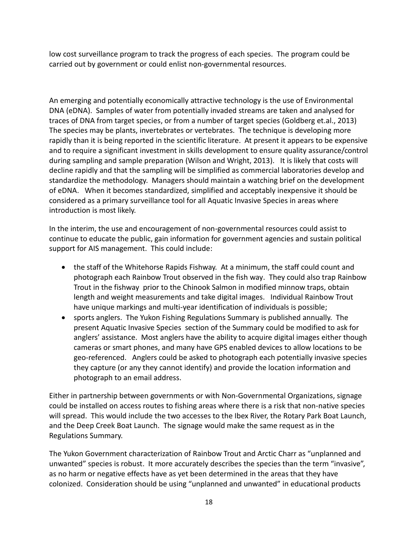low cost surveillance program to track the progress of each species. The program could be carried out by government or could enlist non-governmental resources.

An emerging and potentially economically attractive technology is the use of Environmental DNA (eDNA). Samples of water from potentially invaded streams are taken and analysed for traces of DNA from target species, or from a number of target species (Goldberg et.al., 2013) The species may be plants, invertebrates or vertebrates. The technique is developing more rapidly than it is being reported in the scientific literature. At present it appears to be expensive and to require a significant investment in skills development to ensure quality assurance/control during sampling and sample preparation (Wilson and Wright, 2013). It is likely that costs will decline rapidly and that the sampling will be simplified as commercial laboratories develop and standardize the methodology. Managers should maintain a watching brief on the development of eDNA. When it becomes standardized, simplified and acceptably inexpensive it should be considered as a primary surveillance tool for all Aquatic Invasive Species in areas where introduction is most likely.

In the interim, the use and encouragement of non-governmental resources could assist to continue to educate the public, gain information for government agencies and sustain political support for AIS management. This could include:

- the staff of the Whitehorse Rapids Fishway. At a minimum, the staff could count and photograph each Rainbow Trout observed in the fish way. They could also trap Rainbow Trout in the fishway prior to the Chinook Salmon in modified minnow traps, obtain length and weight measurements and take digital images. Individual Rainbow Trout have unique markings and multi-year identification of individuals is possible;
- sports anglers. The Yukon Fishing Regulations Summary is published annually. The present Aquatic Invasive Species section of the Summary could be modified to ask for anglers' assistance. Most anglers have the ability to acquire digital images either though cameras or smart phones, and many have GPS enabled devices to allow locations to be geo-referenced. Anglers could be asked to photograph each potentially invasive species they capture (or any they cannot identify) and provide the location information and photograph to an email address.

Either in partnership between governments or with Non-Governmental Organizations, signage could be installed on access routes to fishing areas where there is a risk that non-native species will spread. This would include the two accesses to the Ibex River, the Rotary Park Boat Launch, and the Deep Creek Boat Launch. The signage would make the same request as in the Regulations Summary.

The Yukon Government characterization of Rainbow Trout and Arctic Charr as "unplanned and unwanted" species is robust. It more accurately describes the species than the term "invasive", as no harm or negative effects have as yet been determined in the areas that they have colonized. Consideration should be using "unplanned and unwanted" in educational products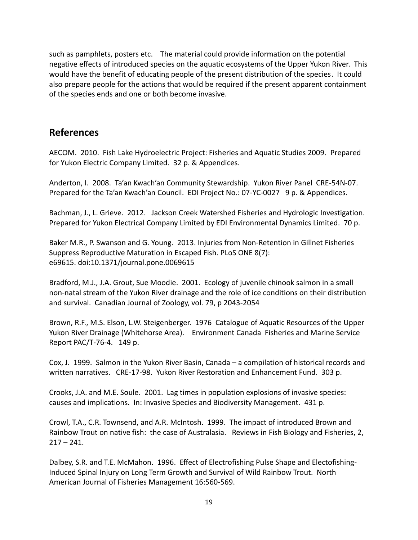such as pamphlets, posters etc. The material could provide information on the potential negative effects of introduced species on the aquatic ecosystems of the Upper Yukon River. This would have the benefit of educating people of the present distribution of the species. It could also prepare people for the actions that would be required if the present apparent containment of the species ends and one or both become invasive.

## **References**

AECOM. 2010. Fish Lake Hydroelectric Project: Fisheries and Aquatic Studies 2009. Prepared for Yukon Electric Company Limited. 32 p. & Appendices.

Anderton, I. 2008. Ta'an Kwach'an Community Stewardship. Yukon River Panel CRE-54N-07. Prepared for the Ta'an Kwach'an Council. EDI Project No.: 07-YC-0027 9 p. & Appendices.

Bachman, J., L. Grieve. 2012. Jackson Creek Watershed Fisheries and Hydrologic Investigation. Prepared for Yukon Electrical Company Limited by EDI Environmental Dynamics Limited. 70 p.

Baker M.R., P. Swanson and G. Young. 2013. Injuries from Non-Retention in Gillnet Fisheries Suppress Reproductive Maturation in Escaped Fish. PLoS ONE 8(7): e69615. doi:10.1371/journal.pone.0069615

Bradford, M.J., J.A. Grout, Sue Moodie. 2001. Ecology of juvenile chinook salmon in a small non-natal stream of the Yukon River drainage and the role of ice conditions on their distribution and survival. Canadian Journal of Zoology, vol. 79, p 2043-2054

Brown, R.F., M.S. Elson, L.W. Steigenberger. 1976 Catalogue of Aquatic Resources of the Upper Yukon River Drainage (Whitehorse Area). Environment Canada Fisheries and Marine Service Report PAC/T-76-4. 149 p.

Cox, J. 1999. Salmon in the Yukon River Basin, Canada – a compilation of historical records and written narratives. CRE-17-98. Yukon River Restoration and Enhancement Fund. 303 p.

Crooks, J.A. and M.E. Soule. 2001. Lag times in population explosions of invasive species: causes and implications. In: Invasive Species and Biodiversity Management. 431 p.

Crowl, T.A., C.R. Townsend, and A.R. McIntosh. 1999. The impact of introduced Brown and Rainbow Trout on native fish: the case of Australasia. Reviews in Fish Biology and Fisheries, 2,  $217 - 241.$ 

Dalbey, S.R. and T.E. McMahon. 1996. Effect of Electrofishing Pulse Shape and Electofishing-Induced Spinal Injury on Long Term Growth and Survival of Wild Rainbow Trout. North American Journal of Fisheries Management 16:560-569.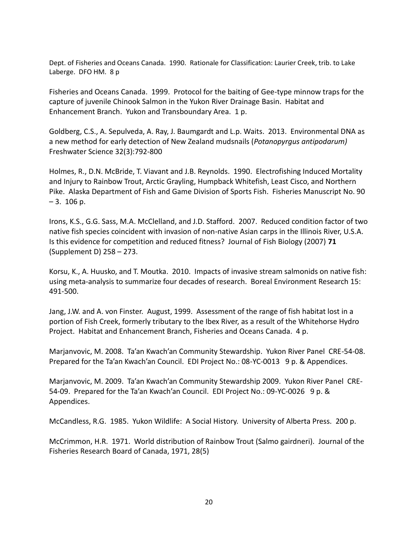Dept. of Fisheries and Oceans Canada. 1990. Rationale for Classification: Laurier Creek, trib. to Lake Laberge. DFO HM. 8 p

Fisheries and Oceans Canada. 1999. Protocol for the baiting of Gee-type minnow traps for the capture of juvenile Chinook Salmon in the Yukon River Drainage Basin. Habitat and Enhancement Branch. Yukon and Transboundary Area. 1 p.

Goldberg, C.S., A. Sepulveda, A. Ray, J. Baumgardt and L.p. Waits. 2013. Environmental DNA as a new method for early detection of New Zealand mudsnails (*Potanopyrgus antipodarum)* Freshwater Science 32(3):792-800

Holmes, R., D.N. McBride, T. Viavant and J.B. Reynolds. 1990. Electrofishing Induced Mortality and Injury to Rainbow Trout, Arctic Grayling, Humpback Whitefish, Least Cisco, and Northern Pike. Alaska Department of Fish and Game Division of Sports Fish. Fisheries Manuscript No. 90  $-3.106$  p.

Irons, K.S., G.G. Sass, M.A. McClelland, and J.D. Stafford. 2007. Reduced condition factor of two native fish species coincident with invasion of non-native Asian carps in the Illinois River, U.S.A. Is this evidence for competition and reduced fitness? Journal of Fish Biology (2007) **71**  (Supplement D) 258 – 273.

Korsu, K., A. Huusko, and T. Moutka. 2010. Impacts of invasive stream salmonids on native fish: using meta-analysis to summarize four decades of research. Boreal Environment Research 15: 491-500.

Jang, J.W. and A. von Finster. August, 1999. Assessment of the range of fish habitat lost in a portion of Fish Creek, formerly tributary to the Ibex River, as a result of the Whitehorse Hydro Project. Habitat and Enhancement Branch, Fisheries and Oceans Canada. 4 p.

Marjanvovic, M. 2008. Ta'an Kwach'an Community Stewardship. Yukon River Panel CRE-54-08. Prepared for the Ta'an Kwach'an Council. EDI Project No.: 08-YC-0013 9 p. & Appendices.

Marjanvovic, M. 2009. Ta'an Kwach'an Community Stewardship 2009. Yukon River Panel CRE-54-09. Prepared for the Ta'an Kwach'an Council. EDI Project No.: 09-YC-0026 9 p. & Appendices.

McCandless, R.G. 1985. Yukon Wildlife: A Social History. University of Alberta Press. 200 p.

McCrimmon, H.R. 1971. World distribution of Rainbow Trout (Salmo gairdneri). Journal of the Fisheries Research Board of Canada, 1971, 28(5)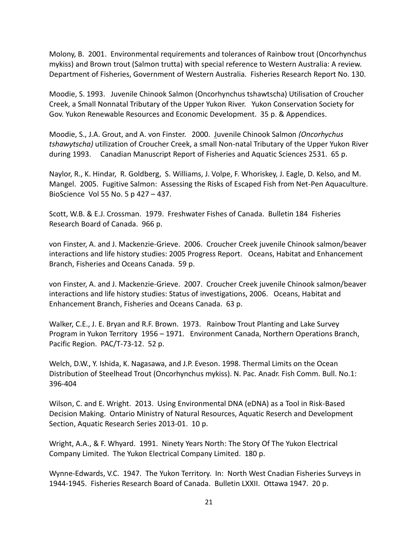Molony, B. 2001. Environmental requirements and tolerances of Rainbow trout (Oncorhynchus mykiss) and Brown trout (Salmon trutta) with special reference to Western Australia: A review. Department of Fisheries, Government of Western Australia. Fisheries Research Report No. 130.

Moodie, S. 1993. Juvenile Chinook Salmon (Oncorhynchus tshawtscha) Utilisation of Croucher Creek, a Small Nonnatal Tributary of the Upper Yukon River. Yukon Conservation Society for Gov. Yukon Renewable Resources and Economic Development. 35 p. & Appendices.

Moodie, S., J.A. Grout, and A. von Finster. 2000. Juvenile Chinook Salmon *(Oncorhychus tshawytscha)* utilization of Croucher Creek, a small Non-natal Tributary of the Upper Yukon River during 1993. Canadian Manuscript Report of Fisheries and Aquatic Sciences 2531. 65 p.

Naylor, R., K. Hindar, R. Goldberg, S. Williams, J. Volpe, F. Whoriskey, J. Eagle, D. Kelso, and M. Mangel. 2005. Fugitive Salmon: Assessing the Risks of Escaped Fish from Net-Pen Aquaculture. BioScience Vol 55 No. 5 p 427 – 437.

Scott, W.B. & E.J. Crossman. 1979. Freshwater Fishes of Canada. Bulletin 184 Fisheries Research Board of Canada. 966 p.

von Finster, A. and J. Mackenzie-Grieve. 2006. Croucher Creek juvenile Chinook salmon/beaver interactions and life history studies: 2005 Progress Report. Oceans, Habitat and Enhancement Branch, Fisheries and Oceans Canada. 59 p.

von Finster, A. and J. Mackenzie-Grieve. 2007. Croucher Creek juvenile Chinook salmon/beaver interactions and life history studies: Status of investigations, 2006. Oceans, Habitat and Enhancement Branch, Fisheries and Oceans Canada. 63 p.

Walker, C.E., J. E. Bryan and R.F. Brown. 1973. Rainbow Trout Planting and Lake Survey Program in Yukon Territory 1956 – 1971. Environment Canada, Northern Operations Branch, Pacific Region. PAC/T-73-12. 52 p.

Welch, D.W., Y. Ishida, K. Nagasawa, and J.P. Eveson. 1998. Thermal Limits on the Ocean Distribution of Steelhead Trout (Oncorhynchus mykiss). N. Pac. Anadr. Fish Comm. Bull. No.1: 396-404

Wilson, C. and E. Wright. 2013. Using Environmental DNA (eDNA) as a Tool in Risk-Based Decision Making. Ontario Ministry of Natural Resources, Aquatic Reserch and Development Section, Aquatic Research Series 2013-01. 10 p.

Wright, A.A., & F. Whyard. 1991. Ninety Years North: The Story Of The Yukon Electrical Company Limited. The Yukon Electrical Company Limited. 180 p.

Wynne-Edwards, V.C. 1947. The Yukon Territory. In: North West Cnadian Fisheries Surveys in 1944-1945. Fisheries Research Board of Canada. Bulletin LXXII. Ottawa 1947. 20 p.